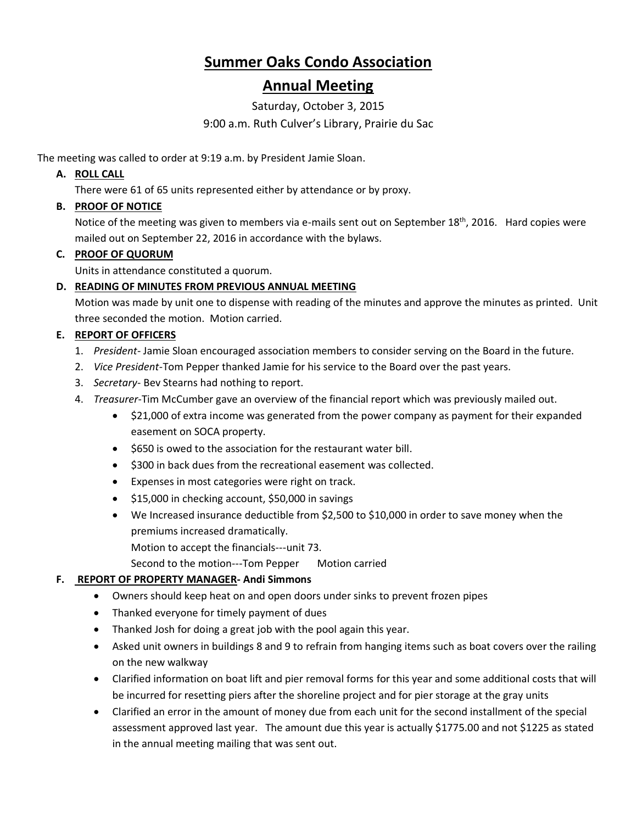# **Summer Oaks Condo Association**

## **Annual Meeting**

Saturday, October 3, 2015

#### 9:00 a.m. Ruth Culver's Library, Prairie du Sac

The meeting was called to order at 9:19 a.m. by President Jamie Sloan.

## **A. ROLL CALL**

There were 61 of 65 units represented either by attendance or by proxy.

## **B. PROOF OF NOTICE**

Notice of the meeting was given to members via e-mails sent out on September 18<sup>th</sup>, 2016. Hard copies were mailed out on September 22, 2016 in accordance with the bylaws.

## **C. PROOF OF QUORUM**

Units in attendance constituted a quorum.

## **D. READING OF MINUTES FROM PREVIOUS ANNUAL MEETING**

Motion was made by unit one to dispense with reading of the minutes and approve the minutes as printed. Unit three seconded the motion. Motion carried.

## **E. REPORT OF OFFICERS**

- 1. *President* Jamie Sloan encouraged association members to consider serving on the Board in the future.
- 2. *Vice President*-Tom Pepper thanked Jamie for his service to the Board over the past years.
- 3. *Secretary* Bev Stearns had nothing to report.
- 4. *Treasurer*-Tim McCumber gave an overview of the financial report which was previously mailed out.
	- \$21,000 of extra income was generated from the power company as payment for their expanded easement on SOCA property.
	- \$650 is owed to the association for the restaurant water bill.
	- \$300 in back dues from the recreational easement was collected.
	- Expenses in most categories were right on track.
	- \$15,000 in checking account, \$50,000 in savings
	- We Increased insurance deductible from \$2,500 to \$10,000 in order to save money when the premiums increased dramatically. Motion to accept the financials---unit 73.
		- Second to the motion---Tom Pepper Motion carried

## **F. REPORT OF PROPERTY MANAGER- Andi Simmons**

- Owners should keep heat on and open doors under sinks to prevent frozen pipes
- Thanked everyone for timely payment of dues
- Thanked Josh for doing a great job with the pool again this year.
- Asked unit owners in buildings 8 and 9 to refrain from hanging items such as boat covers over the railing on the new walkway
- Clarified information on boat lift and pier removal forms for this year and some additional costs that will be incurred for resetting piers after the shoreline project and for pier storage at the gray units
- Clarified an error in the amount of money due from each unit for the second installment of the special assessment approved last year. The amount due this year is actually \$1775.00 and not \$1225 as stated in the annual meeting mailing that was sent out.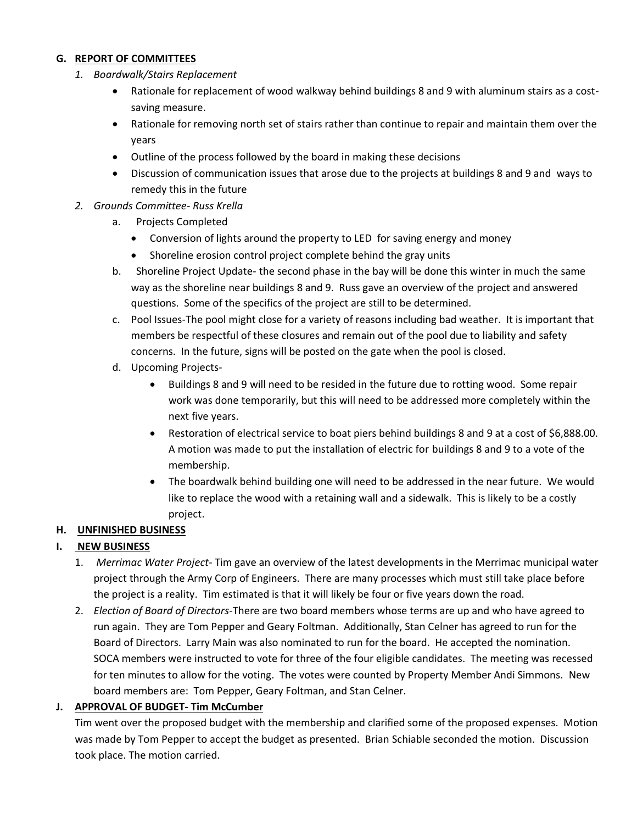#### **G. REPORT OF COMMITTEES**

- *1. Boardwalk/Stairs Replacement*
	- Rationale for replacement of wood walkway behind buildings 8 and 9 with aluminum stairs as a costsaving measure.
	- Rationale for removing north set of stairs rather than continue to repair and maintain them over the years
	- Outline of the process followed by the board in making these decisions
	- Discussion of communication issues that arose due to the projects at buildings 8 and 9 and ways to remedy this in the future

#### *2. Grounds Committee- Russ Krella*

- a. Projects Completed
	- Conversion of lights around the property to LED for saving energy and money
	- Shoreline erosion control project complete behind the gray units
- b. Shoreline Project Update- the second phase in the bay will be done this winter in much the same way as the shoreline near buildings 8 and 9. Russ gave an overview of the project and answered questions. Some of the specifics of the project are still to be determined.
- c. Pool Issues-The pool might close for a variety of reasons including bad weather. It is important that members be respectful of these closures and remain out of the pool due to liability and safety concerns. In the future, signs will be posted on the gate when the pool is closed.
- d. Upcoming Projects-
	- Buildings 8 and 9 will need to be resided in the future due to rotting wood. Some repair work was done temporarily, but this will need to be addressed more completely within the next five years.
	- Restoration of electrical service to boat piers behind buildings 8 and 9 at a cost of \$6,888.00. A motion was made to put the installation of electric for buildings 8 and 9 to a vote of the membership.
	- The boardwalk behind building one will need to be addressed in the near future. We would like to replace the wood with a retaining wall and a sidewalk. This is likely to be a costly project.

#### **H. UNFINISHED BUSINESS**

#### **I. NEW BUSINESS**

- 1. *Merrimac Water Project* Tim gave an overview of the latest developments in the Merrimac municipal water project through the Army Corp of Engineers. There are many processes which must still take place before the project is a reality. Tim estimated is that it will likely be four or five years down the road.
- 2. *Election of Board of Directors*-There are two board members whose terms are up and who have agreed to run again. They are Tom Pepper and Geary Foltman. Additionally, Stan Celner has agreed to run for the Board of Directors. Larry Main was also nominated to run for the board. He accepted the nomination. SOCA members were instructed to vote for three of the four eligible candidates. The meeting was recessed for ten minutes to allow for the voting. The votes were counted by Property Member Andi Simmons. New board members are: Tom Pepper, Geary Foltman, and Stan Celner.

#### **J. APPROVAL OF BUDGET- Tim McCumber**

Tim went over the proposed budget with the membership and clarified some of the proposed expenses. Motion was made by Tom Pepper to accept the budget as presented. Brian Schiable seconded the motion. Discussion took place. The motion carried.